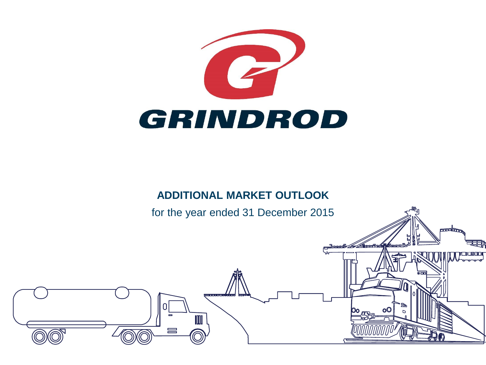

### **ADDITIONAL MARKET OUTLOOK**

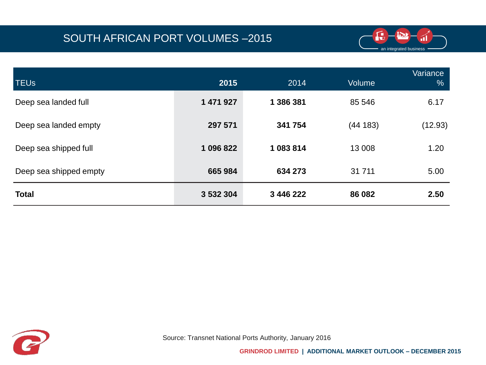

| <b>TEU<sub>s</sub></b> | 2015      | 2014      | <b>Volume</b> | Variance<br>$\frac{1}{2}$ |
|------------------------|-----------|-----------|---------------|---------------------------|
| Deep sea landed full   | 1 471 927 | 1 386 381 | 85 546        | 6.17                      |
| Deep sea landed empty  | 297 571   | 341 754   | (44183)       | (12.93)                   |
| Deep sea shipped full  | 1 096 822 | 1083814   | 13 008        | 1.20                      |
| Deep sea shipped empty | 665 984   | 634 273   | 31 711        | 5.00                      |
| <b>Total</b>           | 3 532 304 | 3 446 222 | 86 082        | 2.50                      |

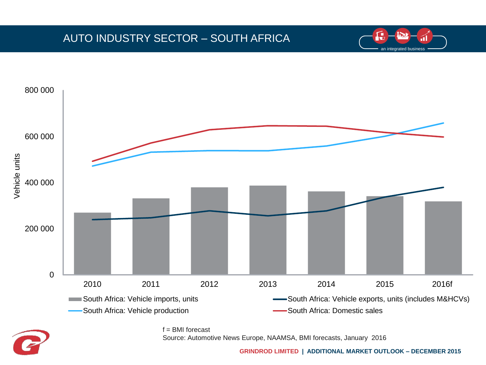# AUTO INDUSTRY SECTOR – SOUTH AFRICA



 $f =$  BMI forecast Source: Automotive News Europe, NAAMSA, BMI forecasts, January 2016

**GRINDROD LIMITED | ADDITIONAL MARKET OUTLOOK – DECEMBER 2015**

an integrated business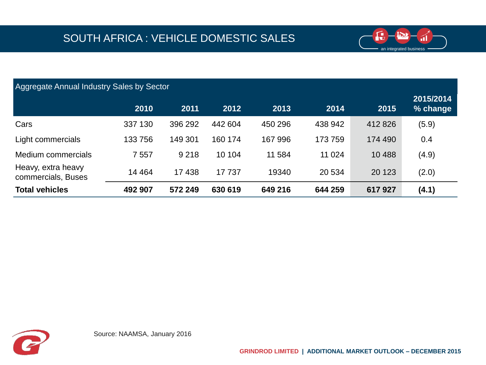

| <b>Aggregate Annual Industry Sales by Sector</b> |         |         |         |         |         |         |                       |  |
|--------------------------------------------------|---------|---------|---------|---------|---------|---------|-----------------------|--|
|                                                  | 2010    | 2011    | 2012    | 2013    | 2014    | 2015    | 2015/2014<br>% change |  |
| Cars                                             | 337 130 | 396 292 | 442 604 | 450 296 | 438 942 | 412 826 | (5.9)                 |  |
| Light commercials                                | 133 756 | 149 301 | 160 174 | 167 996 | 173759  | 174 490 | 0.4                   |  |
| Medium commercials                               | 7 5 5 7 | 9 2 1 8 | 10 104  | 11 584  | 11 0 24 | 10 4 88 | (4.9)                 |  |
| Heavy, extra heavy<br>commercials, Buses         | 14 4 64 | 17438   | 17 737  | 19340   | 20 534  | 20 123  | (2.0)                 |  |
| <b>Total vehicles</b>                            | 492 907 | 572 249 | 630 619 | 649 216 | 644 259 | 617927  | (4.1)                 |  |

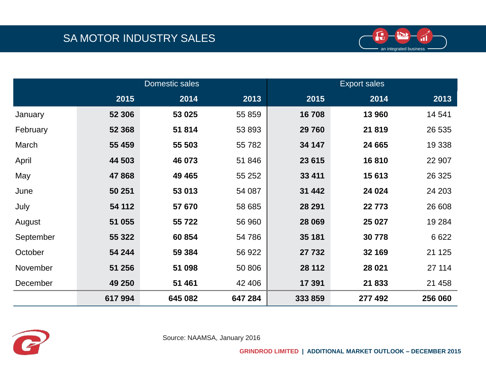

|           | Domestic sales |         |         | <b>Export sales</b> |         |         |  |
|-----------|----------------|---------|---------|---------------------|---------|---------|--|
|           | 2015           | 2014    | 2013    | 2015                | 2014    | 2013    |  |
| January   | 52 306         | 53 025  | 55 859  | 16708               | 13 960  | 14 541  |  |
| February  | 52 368         | 51814   | 53 893  | 29 760              | 21819   | 26 535  |  |
| March     | 55 459         | 55 503  | 55782   | 34 147              | 24 665  | 19 3 38 |  |
| April     | 44 503         | 46 073  | 51 846  | 23 615              | 16810   | 22 907  |  |
| May       | 47868          | 49 4 65 | 55 252  | 33 411              | 15 613  | 26 3 25 |  |
| June      | 50 251         | 53 013  | 54 087  | 31 442              | 24 0 24 | 24 203  |  |
| July      | 54 112         | 57 670  | 58 685  | 28 291              | 22773   | 26 608  |  |
| August    | 51 055         | 55 722  | 56 960  | 28 069              | 25 0 27 | 19 2 84 |  |
| September | 55 322         | 60 854  | 54 786  | 35 181              | 30778   | 6622    |  |
| October   | 54 244         | 59 384  | 56 922  | 27 732              | 32 169  | 21 1 25 |  |
| November  | 51 256         | 51 098  | 50 806  | 28 112              | 28 0 21 | 27 114  |  |
| December  | 49 250         | 51 461  | 42 40 6 | 17 391              | 21833   | 21 4 58 |  |
|           | 617994         | 645 082 | 647 284 | 333 859             | 277 492 | 256 060 |  |



Source: NAAMSA, January 2016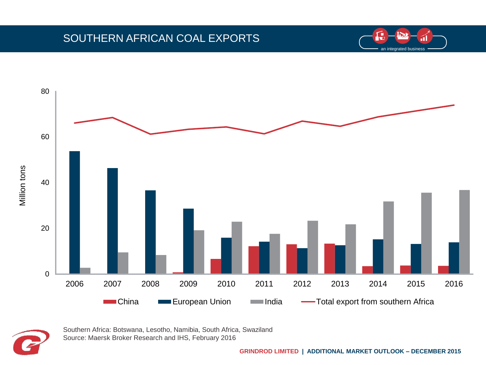### SOUTHERN AFRICAN COAL EXPORTS







Southern Africa: Botswana, Lesotho, Namibia, South Africa, Swaziland Source: Maersk Broker Research and IHS, February 2016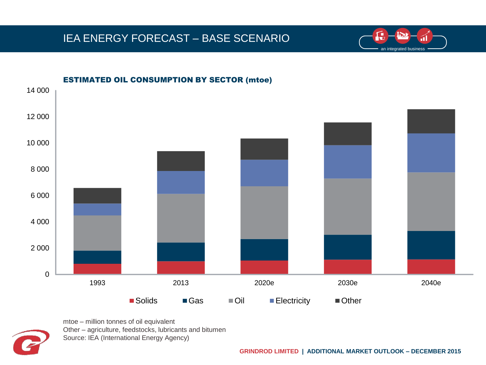### IEA ENERGY FORECAST – BASE SCENARIO





mtoe – million tonnes of oil equivalent Other – agriculture, feedstocks, lubricants and bitumen Source: IEA (International Energy Agency)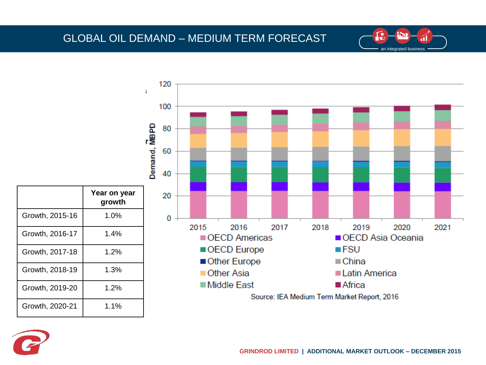### GLOBAL OIL DEMAND – MEDIUM TERM FORECAST





an integrated business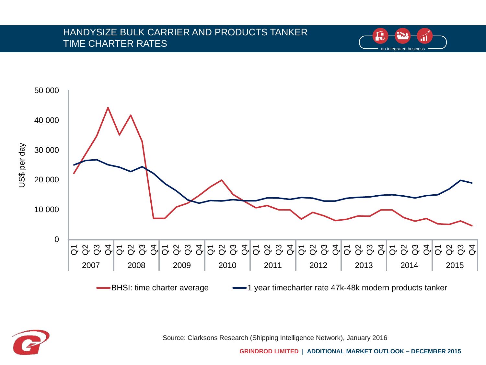#### HANDYSIZE BULK CARRIER AND PRODUCTS TANKER TIME CHARTER RATES



Source: Clarksons Research (Shipping Intelligence Network), January 2016

**GRINDROD LIMITED | ADDITIONAL MARKET OUTLOOK – DECEMBER 2015**

an integrated business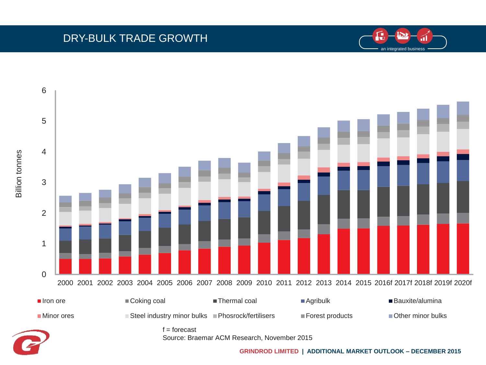### DRY-BULK TRADE GROWTH

Billion tonnes





 $f =$  forecast ■Iron ore Goking coal Thermal coal Agribulk Bauxite/alumina ■Minor ores Steel industry minor bulks ■Phosrock/fertilisers ■Forest products Bother minor bulks

Source: Braemar ACM Research, November 2015

**GRINDROD LIMITED | ADDITIONAL MARKET OUTLOOK – DECEMBER 2015**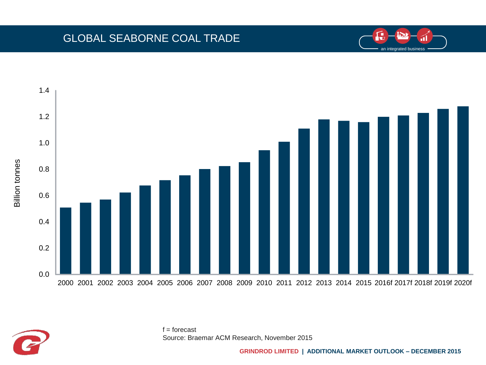### GLOBAL SEABORNE COAL TRADE





 $f =$  forecast Source: Braemar ACM Research, November 2015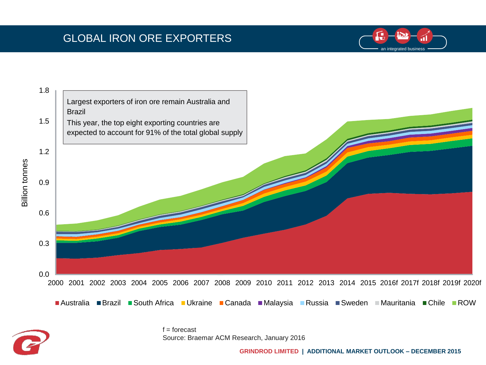# GLOBAL IRON ORE EXPORTERS





 $f =$ forecast Source: Braemar ACM Research, January 2016

**GRINDROD LIMITED | ADDITIONAL MARKET OUTLOOK – DECEMBER 2015**